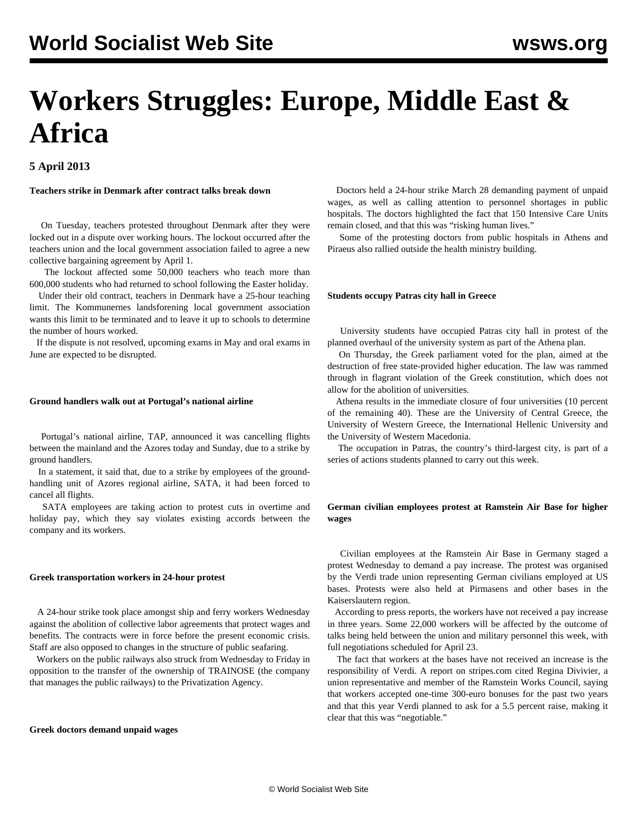# **Workers Struggles: Europe, Middle East & Africa**

## **5 April 2013**

**Teachers strike in Denmark after contract talks break down**

 On Tuesday, teachers protested throughout Denmark after they were locked out in a dispute over working hours. The lockout occurred after the teachers union and the local government association failed to agree a new collective bargaining agreement by April 1.

 The lockout affected some 50,000 teachers who teach more than 600,000 students who had returned to school following the Easter holiday.

 Under their old contract, teachers in Denmark have a 25-hour teaching limit. The Kommunernes landsforening local government association wants this limit to be terminated and to leave it up to schools to determine the number of hours worked.

 If the dispute is not resolved, upcoming exams in May and oral exams in June are expected to be disrupted.

## **Ground handlers walk out at Portugal's national airline**

 Portugal's national airline, TAP, announced it was cancelling flights between the mainland and the Azores today and Sunday, due to a strike by ground handlers.

 In a statement, it said that, due to a strike by employees of the groundhandling unit of Azores regional airline, SATA, it had been forced to cancel all flights.

 SATA employees are taking action to protest cuts in overtime and holiday pay, which they say violates existing accords between the company and its workers.

#### **Greek transportation workers in 24-hour protest**

 A 24-hour strike took place amongst ship and ferry workers Wednesday against the abolition of collective labor agreements that protect wages and benefits. The contracts were in force before the present economic crisis. Staff are also opposed to changes in the structure of public seafaring.

 Workers on the public railways also struck from Wednesday to Friday in opposition to the transfer of the ownership of TRAINOSE (the company that manages the public railways) to the Privatization Agency.

#### **Greek doctors demand unpaid wages**

 Doctors held a 24-hour strike March 28 demanding payment of unpaid wages, as well as calling attention to personnel shortages in public hospitals. The doctors highlighted the fact that 150 Intensive Care Units remain closed, and that this was "risking human lives."

 Some of the protesting doctors from public hospitals in Athens and Piraeus also rallied outside the health ministry building.

#### **Students occupy Patras city hall in Greece**

 University students have occupied Patras city hall in protest of the planned overhaul of the university system as part of the Athena plan.

 On Thursday, the Greek parliament voted for the plan, aimed at the destruction of free state-provided higher education. The law was rammed through in flagrant violation of the Greek constitution, which does not allow for the abolition of universities.

 Athena results in the immediate closure of four universities (10 percent of the remaining 40). These are the University of Central Greece, the University of Western Greece, the International Hellenic University and the University of Western Macedonia.

 The occupation in Patras, the country's third-largest city, is part of a series of actions students planned to carry out this week.

## **German civilian employees protest at Ramstein Air Base for higher wages**

 Civilian employees at the Ramstein Air Base in Germany staged a protest Wednesday to demand a pay increase. The protest was organised by the Verdi trade union representing German civilians employed at US bases. Protests were also held at Pirmasens and other bases in the Kaiserslautern region.

 According to press reports, the workers have not received a pay increase in three years. Some 22,000 workers will be affected by the outcome of talks being held between the union and military personnel this week, with full negotiations scheduled for April 23.

 The fact that workers at the bases have not received an increase is the responsibility of Verdi. A report on stripes.com cited Regina Divivier, a union representative and member of the Ramstein Works Council, saying that workers accepted one-time 300-euro bonuses for the past two years and that this year Verdi planned to ask for a 5.5 percent raise, making it clear that this was "negotiable."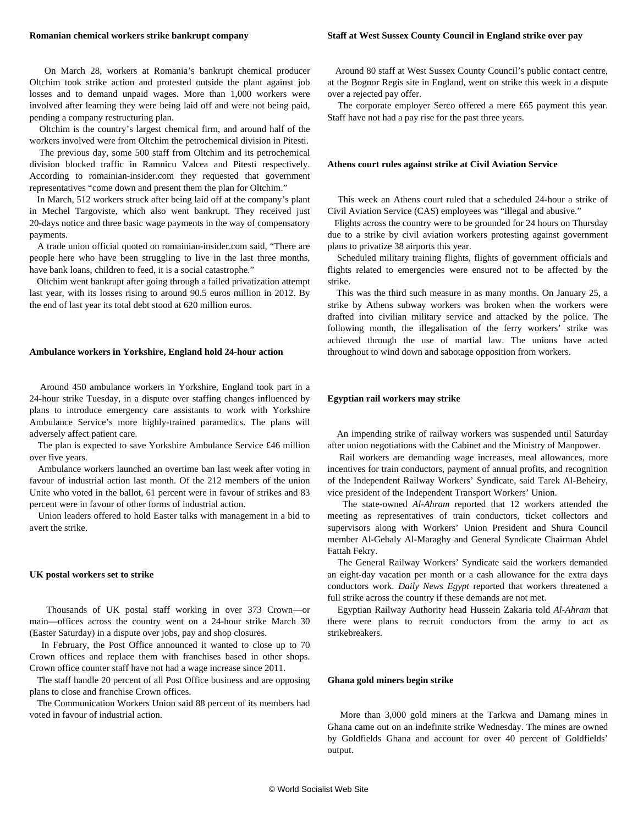#### **Romanian chemical workers strike bankrupt company**

 On March 28, workers at Romania's bankrupt chemical producer Oltchim took strike action and protested outside the plant against job losses and to demand unpaid wages. More than 1,000 workers were involved after learning they were being laid off and were not being paid, pending a company restructuring plan.

 Oltchim is the country's largest chemical firm, and around half of the workers involved were from Oltchim the petrochemical division in Pitesti.

 The previous day, some 500 staff from Oltchim and its petrochemical division blocked traffic in Ramnicu Valcea and Pitesti respectively. According to romainian-insider.com they requested that government representatives "come down and present them the plan for Oltchim."

 In March, 512 workers struck after being laid off at the company's plant in Mechel Targoviste, which also went bankrupt. They received just 20-days notice and three basic wage payments in the way of compensatory payments.

 A trade union official quoted on romainian-insider.com said, "There are people here who have been struggling to live in the last three months, have bank loans, children to feed, it is a social catastrophe."

 Oltchim went bankrupt after going through a failed privatization attempt last year, with its losses rising to around 90.5 euros million in 2012. By the end of last year its total debt stood at 620 million euros.

#### **Ambulance workers in Yorkshire, England hold 24-hour action**

 Around 450 ambulance workers in Yorkshire, England took part in a 24-hour strike Tuesday, in a dispute over staffing changes influenced by plans to introduce emergency care assistants to work with Yorkshire Ambulance Service's more highly-trained paramedics. The plans will adversely affect patient care.

 The plan is expected to save Yorkshire Ambulance Service £46 million over five years.

 Ambulance workers launched an overtime ban last week after voting in favour of industrial action last month. Of the 212 members of the union Unite who voted in the ballot, 61 percent were in favour of strikes and 83 percent were in favour of other forms of industrial action.

 Union leaders offered to hold Easter talks with management in a bid to avert the strike.

#### **UK postal workers set to strike**

 Thousands of UK postal staff working in over 373 Crown—or main—offices across the country went on a 24-hour strike March 30 (Easter Saturday) in a dispute over jobs, pay and shop closures.

 In February, the Post Office announced it wanted to close up to 70 Crown offices and replace them with franchises based in other shops. Crown office counter staff have not had a wage increase since 2011.

 The staff handle 20 percent of all Post Office business and are opposing plans to close and franchise Crown offices.

 The Communication Workers Union said 88 percent of its members had voted in favour of industrial action.

 Around 80 staff at West Sussex County Council's public contact centre, at the Bognor Regis site in England, went on strike this week in a dispute over a rejected pay offer.

 The corporate employer Serco offered a mere £65 payment this year. Staff have not had a pay rise for the past three years.

## **Athens court rules against strike at Civil Aviation Service**

 This week an Athens court ruled that a scheduled 24-hour a strike of Civil Aviation Service (CAS) employees was "illegal and abusive."

 Flights across the country were to be grounded for 24 hours on Thursday due to a strike by civil aviation workers protesting against government plans to privatize 38 airports this year.

 Scheduled military training flights, flights of government officials and flights related to emergencies were ensured not to be affected by the strike.

 This was the third such measure in as many months. On January 25, a strike by Athens subway workers was broken when the workers were drafted into civilian military service and attacked by the police. The following month, the illegalisation of the ferry workers' strike was achieved through the use of martial law. The unions have acted throughout to wind down and sabotage opposition from workers.

#### **Egyptian rail workers may strike**

 An impending strike of railway workers was suspended until Saturday after union negotiations with the Cabinet and the Ministry of Manpower.

 Rail workers are demanding wage increases, meal allowances, more incentives for train conductors, payment of annual profits, and recognition of the Independent Railway Workers' Syndicate, said Tarek Al-Beheiry, vice president of the Independent Transport Workers' Union.

 The state-owned *Al-Ahram* reported that 12 workers attended the meeting as representatives of train conductors, ticket collectors and supervisors along with Workers' Union President and Shura Council member Al-Gebaly Al-Maraghy and General Syndicate Chairman Abdel Fattah Fekry.

 The General Railway Workers' Syndicate said the workers demanded an eight-day vacation per month or a cash allowance for the extra days conductors work. *Daily News Egypt* reported that workers threatened a full strike across the country if these demands are not met.

 Egyptian Railway Authority head Hussein Zakaria told *Al-Ahram* that there were plans to recruit conductors from the army to act as strikebreakers.

#### **Ghana gold miners begin strike**

 More than 3,000 gold miners at the Tarkwa and Damang mines in Ghana came out on an indefinite strike Wednesday. The mines are owned by Goldfields Ghana and account for over 40 percent of Goldfields' output.